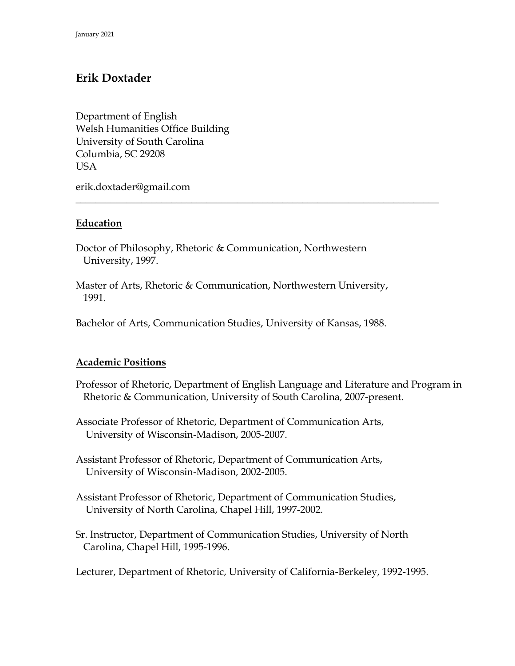# **Erik Doxtader**

Department of English Welsh Humanities Office Building University of South Carolina Columbia, SC 29208 USA

erik.doxtader@gmail.com

### **Education**

Doctor of Philosophy, Rhetoric & Communication, Northwestern University, 1997.

Master of Arts, Rhetoric & Communication, Northwestern University, 1991.

**\_\_\_\_\_\_\_\_\_\_\_\_\_\_\_\_\_\_\_\_\_\_\_\_\_\_\_\_\_\_\_\_\_\_\_\_\_\_\_\_\_\_\_\_\_\_\_\_\_\_\_\_\_\_\_\_\_\_\_\_\_\_\_\_\_\_\_\_\_\_\_\_**

Bachelor of Arts, Communication Studies, University of Kansas, 1988.

### **Academic Positions**

Professor of Rhetoric, Department of English Language and Literature and Program in Rhetoric & Communication, University of South Carolina, 2007-present.

Associate Professor of Rhetoric, Department of Communication Arts, University of Wisconsin-Madison, 2005-2007.

Assistant Professor of Rhetoric, Department of Communication Arts, University of Wisconsin-Madison, 2002-2005.

Assistant Professor of Rhetoric, Department of Communication Studies, University of North Carolina, Chapel Hill, 1997-2002.

Sr. Instructor, Department of Communication Studies, University of North Carolina, Chapel Hill, 1995-1996.

Lecturer, Department of Rhetoric, University of California-Berkeley, 1992-1995.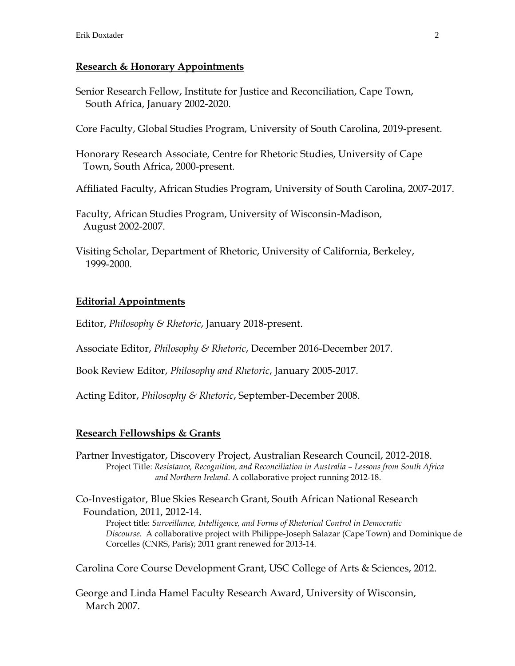#### **Research & Honorary Appointments**

Senior Research Fellow, Institute for Justice and Reconciliation, Cape Town, South Africa, January 2002-2020.

Core Faculty, Global Studies Program, University of South Carolina, 2019-present.

Honorary Research Associate, Centre for Rhetoric Studies, University of Cape Town, South Africa, 2000-present.

Affiliated Faculty, African Studies Program, University of South Carolina, 2007-2017.

Faculty, African Studies Program, University of Wisconsin-Madison, August 2002-2007.

Visiting Scholar, Department of Rhetoric, University of California, Berkeley, 1999-2000.

### **Editorial Appointments**

Editor, *Philosophy & Rhetoric*, January 2018-present.

Associate Editor, *Philosophy & Rhetoric*, December 2016-December 2017.

Book Review Editor, *Philosophy and Rhetoric*, January 2005-2017.

Acting Editor, *Philosophy & Rhetoric*, September-December 2008.

### **Research Fellowships & Grants**

Partner Investigator, Discovery Project, Australian Research Council, 2012-2018. Project Title: *Resistance, Recognition, and Reconciliation in Australia - Lessons from South Africa and Northern Ireland*. A collaborative project running 2012-18.

Co-Investigator, Blue Skies Research Grant, South African National Research Foundation, 2011, 2012-14.

Project title: *Surveillance, Intelligence, and Forms of Rhetorical Control in Democratic Discourse*. A collaborative project with Philippe-Joseph Salazar (Cape Town) and Dominique de Corcelles (CNRS, Paris); 2011 grant renewed for 2013-14.

Carolina Core Course Development Grant, USC College of Arts & Sciences, 2012.

George and Linda Hamel Faculty Research Award, University of Wisconsin, March 2007.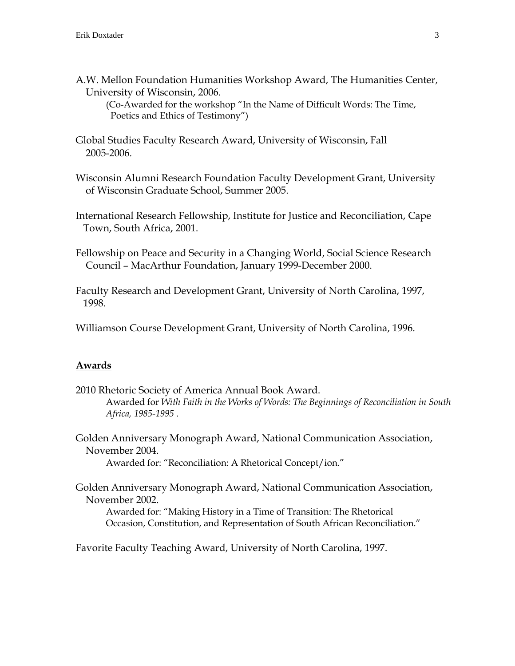A.W. Mellon Foundation Humanities Workshop Award, The Humanities Center, University of Wisconsin, 2006.

(Co-Awarded for the workshop "In the Name of Difficult Words: The Time, Poetics and Ethics of Testimony")

Global Studies Faculty Research Award, University of Wisconsin, Fall 2005-2006.

Wisconsin Alumni Research Foundation Faculty Development Grant, University of Wisconsin Graduate School, Summer 2005.

International Research Fellowship, Institute for Justice and Reconciliation, Cape Town, South Africa, 2001.

Fellowship on Peace and Security in a Changing World, Social Science Research Council – MacArthur Foundation, January 1999-December 2000.

Faculty Research and Development Grant, University of North Carolina, 1997, 1998.

Williamson Course Development Grant, University of North Carolina, 1996.

#### **Awards**

2010 Rhetoric Society of America Annual Book Award. Awarded for *With Faith in the Works of Words: The Beginnings of Reconciliation in South Africa, 1985-1995* .

Golden Anniversary Monograph Award, National Communication Association, November 2004.

Awarded for: "Reconciliation: A Rhetorical Concept/ion."

Golden Anniversary Monograph Award, National Communication Association, November 2002.

Awarded for: "Making History in a Time of Transition: The Rhetorical Occasion, Constitution, and Representation of South African Reconciliation."

Favorite Faculty Teaching Award, University of North Carolina, 1997.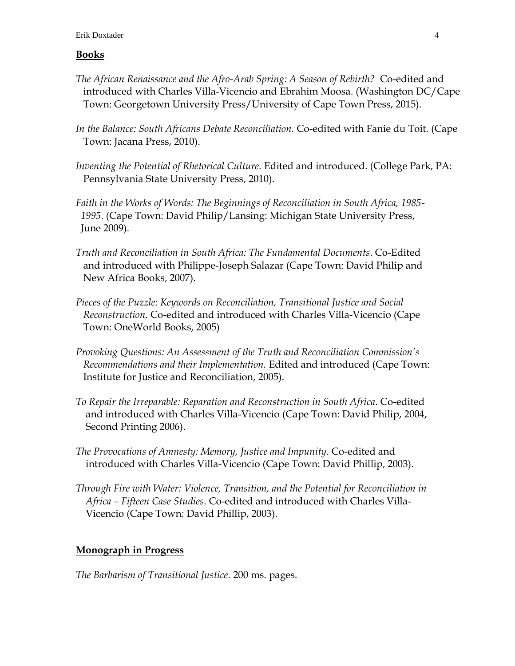#### Erik Doxtader 4

### **Books**

- *The African Renaissance and the Afro-Arab Spring: A Season of Rebirth?* Co-edited and introduced with Charles Villa-Vicencio and Ebrahim Moosa. (Washington DC/Cape Town: Georgetown University Press/University of Cape Town Press, 2015).
- *In the Balance: South Africans Debate Reconciliation.* Co-edited with Fanie du Toit. (Cape Town: Jacana Press, 2010).
- *Inventing the Potential of Rhetorical Culture.* Edited and introduced. (College Park, PA: Pennsylvania State University Press, 2010).
- *Faith in the Works of Words: The Beginnings of Reconciliation in South Africa, 1985- 1995*. (Cape Town: David Philip/Lansing: Michigan State University Press, June 2009).
- *Truth and Reconciliation in South Africa: The Fundamental Documents*. Co-Edited and introduced with Philippe-Joseph Salazar (Cape Town: David Philip and New Africa Books, 2007).
- *Pieces of the Puzzle: Keywords on Reconciliation, Transitional Justice and Social Reconstruction*. Co-edited and introduced with Charles Villa-Vicencio (Cape Town: OneWorld Books, 2005)
- *Provoking Questions: An Assessment of the Truth and Reconciliation Commission's Recommendations and their Implementation.* Edited and introduced (Cape Town: Institute for Justice and Reconciliation, 2005).
- *To Repair the Irreparable: Reparation and Reconstruction in South Africa*. Co-edited and introduced with Charles Villa-Vicencio (Cape Town: David Philip, 2004, Second Printing 2006).
- *The Provocations of Amnesty: Memory, Justice and Impunity*. Co-edited and introduced with Charles Villa-Vicencio (Cape Town: David Phillip, 2003).
- *Through Fire with Water: Violence, Transition, and the Potential for Reconciliation in Africa – Fifteen Case Studies*. Co-edited and introduced with Charles Villa- Vicencio (Cape Town: David Phillip, 2003).

### **Monograph in Progress**

*The Barbarism of Transitional Justice.* 200 ms. pages.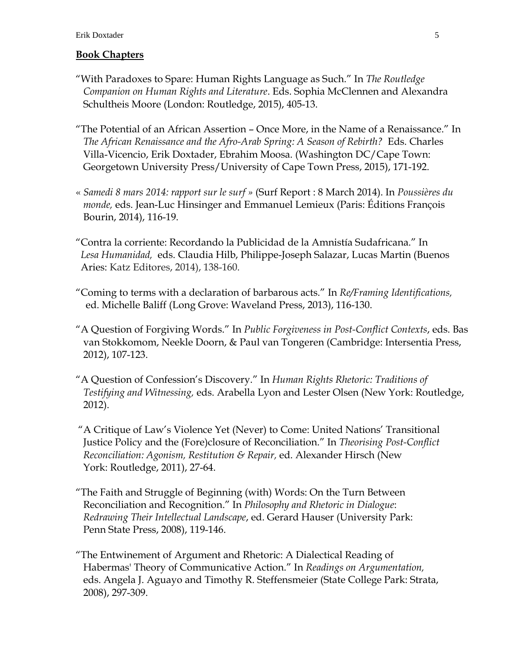### **Book Chapters**

- "With Paradoxes to Spare: Human Rights Language as Such." In *The Routledge Companion on Human Rights and Literature*. Eds. Sophia McClennen and Alexandra Schultheis Moore (London: Routledge, 2015), 405-13.
- "The Potential of an African Assertion Once More, in the Name of a Renaissance." In *The African Renaissance and the Afro-Arab Spring: A Season of Rebirth?* Eds. Charles Villa-Vicencio, Erik Doxtader, Ebrahim Moosa. (Washington DC/Cape Town: Georgetown University Press/University of Cape Town Press, 2015), 171-192.
- « *Samedi 8 mars 2014: rapport sur le surf »* (Surf Report : 8 March 2014). In *Poussières du monde,* eds. Jean-Luc Hinsinger and Emmanuel Lemieux (Paris: Éditions François Bourin, 2014), 116-19.
- "Contra la corriente: Recordando la Publicidad de la Amnistía Sudafricana." In  *Lesa Humanidad,* eds. Claudia Hilb, Philippe-Joseph Salazar, Lucas Martin (Buenos Aries: Katz Editores, 2014), 138-160.
- "Coming to terms with a declaration of barbarous acts." In *Re/Framing Identifications,* ed. Michelle Baliff (Long Grove: Waveland Press, 2013), 116-130.
- "A Question of Forgiving Words." In *Public Forgiveness in Post-Conflict Contexts*, eds. Bas van Stokkomom, Neekle Doorn, & Paul van Tongeren (Cambridge: Intersentia Press, 2012), 107-123.
- "A Question of Confession's Discovery." In *Human Rights Rhetoric: Traditions of Testifying and Witnessing,* eds. Arabella Lyon and Lester Olsen (New York: Routledge, 2012).
- "A Critique of Law's Violence Yet (Never) to Come: United Nations' Transitional Justice Policy and the (Fore)closure of Reconciliation." In *Theorising Post-Conflict Reconciliation: Agonism, Restitution & Repair,* ed. Alexander Hirsch (New York: Routledge, 2011), 27-64.
- "The Faith and Struggle of Beginning (with) Words: On the Turn Between Reconciliation and Recognition." In *Philosophy and Rhetoric in Dialogue*: *Redrawing Their Intellectual Landscape*, ed. Gerard Hauser (University Park: Penn State Press, 2008), 119-146.
- "The Entwinement of Argument and Rhetoric: A Dialectical Reading of Habermas' Theory of Communicative Action." In *Readings on Argumentation,*  eds. Angela J. Aguayo and Timothy R. Steffensmeier (State College Park: Strata, 2008), 297-309.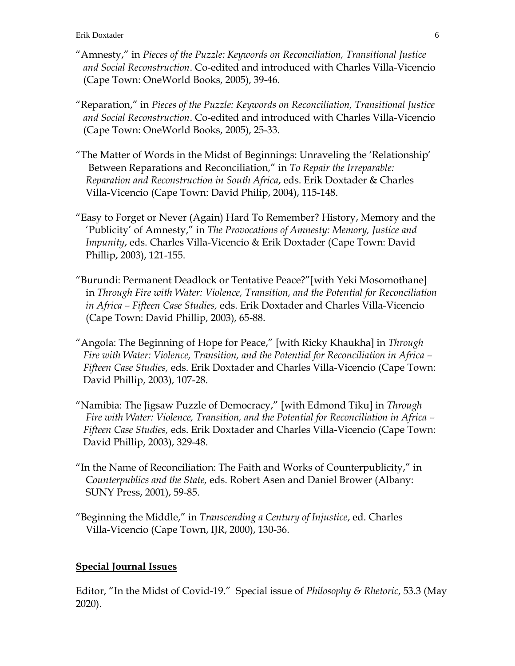- "Amnesty," in *Pieces of the Puzzle: Keywords on Reconciliation, Transitional Justice and Social Reconstruction*. Co-edited and introduced with Charles Villa-Vicencio (Cape Town: OneWorld Books, 2005), 39-46.
- "Reparation," in *Pieces of the Puzzle: Keywords on Reconciliation, Transitional Justice and Social Reconstruction*. Co-edited and introduced with Charles Villa-Vicencio (Cape Town: OneWorld Books, 2005), 25-33.
- "The Matter of Words in the Midst of Beginnings: Unraveling the 'Relationship' Between Reparations and Reconciliation," in *To Repair the Irreparable: Reparation and Reconstruction in South Africa*, eds. Erik Doxtader & Charles Villa-Vicencio (Cape Town: David Philip, 2004), 115-148.
- "Easy to Forget or Never (Again) Hard To Remember? History, Memory and the 'Publicity' of Amnesty," in *The Provocations of Amnesty: Memory, Justice and Impunity*, eds. Charles Villa-Vicencio & Erik Doxtader (Cape Town: David Phillip, 2003), 121-155.
- "Burundi: Permanent Deadlock or Tentative Peace?"[with Yeki Mosomothane] in *Through Fire with Water: Violence, Transition, and the Potential for Reconciliation in Africa – Fifteen Case Studies,* eds. Erik Doxtader and Charles Villa-Vicencio (Cape Town: David Phillip, 2003), 65-88.
- "Angola: The Beginning of Hope for Peace," [with Ricky Khaukha] in *Through Fire with Water: Violence, Transition, and the Potential for Reconciliation in Africa – Fifteen Case Studies,* eds. Erik Doxtader and Charles Villa-Vicencio (Cape Town: David Phillip, 2003), 107-28.
- "Namibia: The Jigsaw Puzzle of Democracy," [with Edmond Tiku] in *Through Fire with Water: Violence, Transition, and the Potential for Reconciliation in Africa – Fifteen Case Studies,* eds. Erik Doxtader and Charles Villa-Vicencio (Cape Town: David Phillip, 2003), 329-48.
- "In the Name of Reconciliation: The Faith and Works of Counterpublicity," in C*ounterpublics and the State,* eds. Robert Asen and Daniel Brower (Albany: SUNY Press, 2001), 59-85.
- "Beginning the Middle," in *Transcending a Century of Injustice*, ed. Charles Villa-Vicencio (Cape Town, IJR, 2000), 130-36.

## **Special Journal Issues**

Editor, "In the Midst of Covid-19." Special issue of *Philosophy & Rhetoric*, 53.3 (May 2020).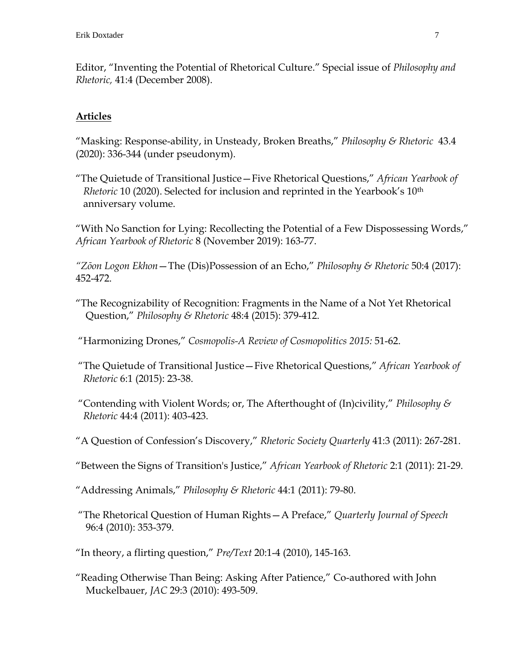Editor, "Inventing the Potential of Rhetorical Culture." Special issue of *Philosophy and Rhetoric,* 41:4 (December 2008).

## **Articles**

"Masking: Response-ability, in Unsteady, Broken Breaths," *Philosophy & Rhetoric* 43.4 (2020): 336-344 (under pseudonym).

"The Quietude of Transitional Justice—Five Rhetorical Questions," *African Yearbook of Rhetoric* 10 (2020). Selected for inclusion and reprinted in the Yearbook's 10th anniversary volume.

"With No Sanction for Lying: Recollecting the Potential of a Few Dispossessing Words," *African Yearbook of Rhetoric* 8 (November 2019): 163-77.

*"Zōon Logon Ekhon*—The (Dis)Possession of an Echo," *Philosophy & Rhetoric* 50:4 (2017): 452-472.

"The Recognizability of Recognition: Fragments in the Name of a Not Yet Rhetorical Question," *Philosophy & Rhetoric* 48:4 (2015): 379-412.

"Harmonizing Drones," *Cosmopolis-A Review of Cosmopolitics 2015:* 51-62.

"The Quietude of Transitional Justice—Five Rhetorical Questions," *African Yearbook of Rhetoric* 6:1 (2015): 23-38.

"Contending with Violent Words; or, The Afterthought of (In)civility," *Philosophy & Rhetoric* 44:4 (2011): 403-423.

"A Question of Confession's Discovery," *Rhetoric Society Quarterly* 41:3 (2011): 267-281.

"Between the Signs of Transition's Justice," *African Yearbook of Rhetoric* 2:1 (2011): 21-29.

"Addressing Animals," *Philosophy & Rhetoric* 44:1 (2011): 79-80.

"The Rhetorical Question of Human Rights—A Preface," *Quarterly Journal of Speech* 96:4 (2010): 353-379.

"In theory, a flirting question," *Pre/Text* 20:1-4 (2010), 145-163.

"Reading Otherwise Than Being: Asking After Patience," Co-authored with John Muckelbauer, *JAC* 29:3 (2010): 493-509.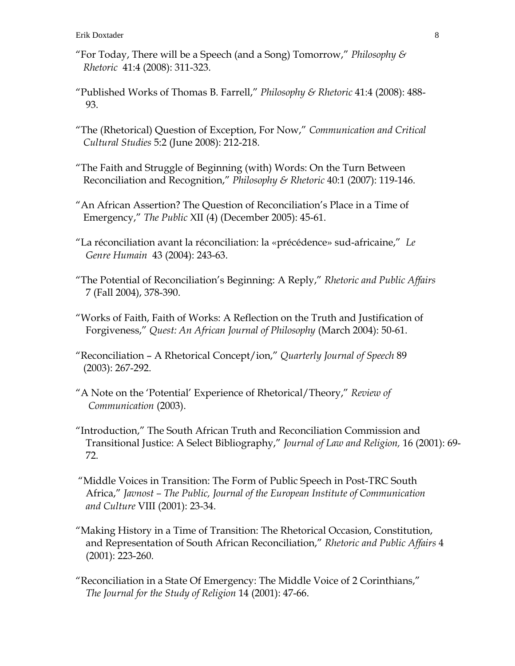- "For Today, There will be a Speech (and a Song) Tomorrow," *Philosophy & Rhetoric* 41:4 (2008): 311-323.
- "Published Works of Thomas B. Farrell," *Philosophy & Rhetoric* 41:4 (2008): 488- 93.
- "The (Rhetorical) Question of Exception, For Now," *Communication and Critical Cultural Studies* 5:2 (June 2008): 212-218.
- "The Faith and Struggle of Beginning (with) Words: On the Turn Between Reconciliation and Recognition," *Philosophy & Rhetoric* 40:1 (2007): 119-146.
- "An African Assertion? The Question of Reconciliation's Place in a Time of Emergency," *The Public* XII (4) (December 2005): 45-61.
- "La réconciliation avant la réconciliation: la «précédence» sud-africaine," *Le Genre Humain* 43 (2004): 243-63.
- "The Potential of Reconciliation's Beginning: A Reply," *Rhetoric and Public Affairs* 7 (Fall 2004), 378-390.
- "Works of Faith, Faith of Works: A Reflection on the Truth and Justification of Forgiveness," *Quest: An African Journal of Philosophy* (March 2004): 50-61.
- "Reconciliation A Rhetorical Concept/ion," *Quarterly Journal of Speech* 89 (2003): 267-292.
- "A Note on the 'Potential' Experience of Rhetorical/Theory," *Review of Communication* (2003).
- "Introduction," The South African Truth and Reconciliation Commission and Transitional Justice: A Select Bibliography," *Journal of Law and Religion,* 16 (2001): 69- 72.
- "Middle Voices in Transition: The Form of Public Speech in Post-TRC South Africa," *Javnost – The Public, Journal of the European Institute of Communication and Culture* VIII (2001): 23-34.
- "Making History in a Time of Transition: The Rhetorical Occasion, Constitution, and Representation of South African Reconciliation," *Rhetoric and Public Affairs* 4 (2001): 223-260.
- "Reconciliation in a State Of Emergency: The Middle Voice of 2 Corinthians," *The Journal for the Study of Religion* 14 (2001): 47-66.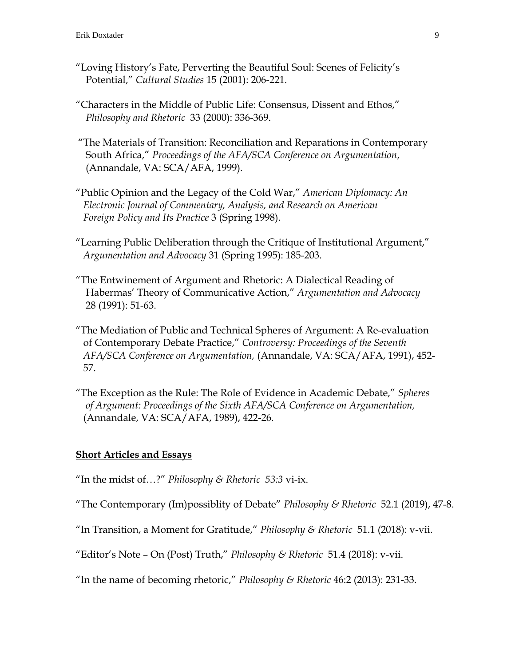- "Loving History's Fate, Perverting the Beautiful Soul: Scenes of Felicity's Potential," *Cultural Studies* 15 (2001): 206-221*.*
- "Characters in the Middle of Public Life: Consensus, Dissent and Ethos," *Philosophy and Rhetoric* 33 (2000): 336-369.
- "The Materials of Transition: Reconciliation and Reparations in Contemporary South Africa," *Proceedings of the AFA/SCA Conference on Argumentation*, (Annandale, VA: SCA/AFA, 1999).
- "Public Opinion and the Legacy of the Cold War," *American Diplomacy: An Electronic Journal of Commentary, Analysis, and Research on American Foreign Policy and Its Practice* 3 (Spring 1998).
- "Learning Public Deliberation through the Critique of Institutional Argument," *Argumentation and Advocacy* 31 (Spring 1995): 185-203.
- "The Entwinement of Argument and Rhetoric: A Dialectical Reading of Habermas' Theory of Communicative Action," *Argumentation and Advocacy* 28 (1991): 51-63.
- "The Mediation of Public and Technical Spheres of Argument: A Re-evaluation of Contemporary Debate Practice," *Controversy: Proceedings of the Seventh AFA/SCA Conference on Argumentation,* (Annandale, VA: SCA/AFA, 1991), 452- 57.
- "The Exception as the Rule: The Role of Evidence in Academic Debate," *Spheres of Argument: Proceedings of the Sixth AFA/SCA Conference on Argumentation,* (Annandale, VA: SCA/AFA, 1989), 422-26.

### **Short Articles and Essays**

"In the midst of…?" *Philosophy & Rhetoric 53:3* vi-ix.

- "The Contemporary (Im)possiblity of Debate" *Philosophy & Rhetoric* 52.1 (2019), 47-8.
- "In Transition, a Moment for Gratitude," *Philosophy & Rhetoric* 51.1 (2018): v-vii.
- "Editor's Note On (Post) Truth," *Philosophy & Rhetoric* 51.4 (2018): v-vii.
- "In the name of becoming rhetoric," *Philosophy & Rhetoric* 46:2 (2013): 231-33.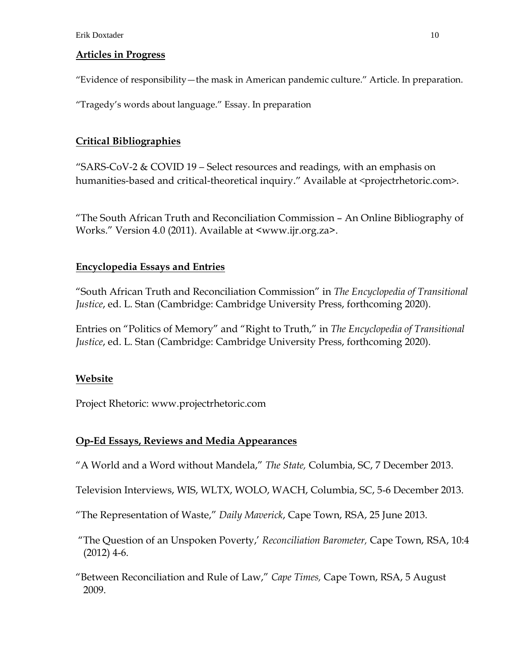### **Articles in Progress**

"Evidence of responsibility—the mask in American pandemic culture." Article. In preparation.

"Tragedy's words about language." Essay. In preparation

## **Critical Bibliographies**

"SARS-CoV-2  $&$  COVID 19 – Select resources and readings, with an emphasis on humanities-based and critical-theoretical inquiry." Available at <projectrhetoric.com>.

"The South African Truth and Reconciliation Commission – An Online Bibliography of Works." Version 4.0 (2011). Available at [<www.ijr.org.za>](http://www.ijr.org.za/).

## **Encyclopedia Essays and Entries**

"South African Truth and Reconciliation Commission" in *The Encyclopedia of Transitional Justice*, ed. L. Stan (Cambridge: Cambridge University Press, forthcoming 2020).

Entries on "Politics of Memory" and "Right to Truth," in *The Encyclopedia of Transitional Justice*, ed. L. Stan (Cambridge: Cambridge University Press, forthcoming 2020).

## **Website**

Project Rhetoric: www.projectrhetoric.com

## **Op-Ed Essays, Reviews and Media Appearances**

"A World and a Word without Mandela," *The State,* Columbia, SC, 7 December 2013.

Television Interviews, WIS, WLTX, WOLO, WACH, Columbia, SC, 5-6 December 2013.

"The Representation of Waste," *Daily Maverick*, Cape Town, RSA, 25 June 2013.

"The Question of an Unspoken Poverty,' *Reconciliation Barometer,* Cape Town, RSA, 10:4  $(2012)$  4-6.

"Between Reconciliation and Rule of Law," *Cape Times,* Cape Town, RSA, 5 August 2009.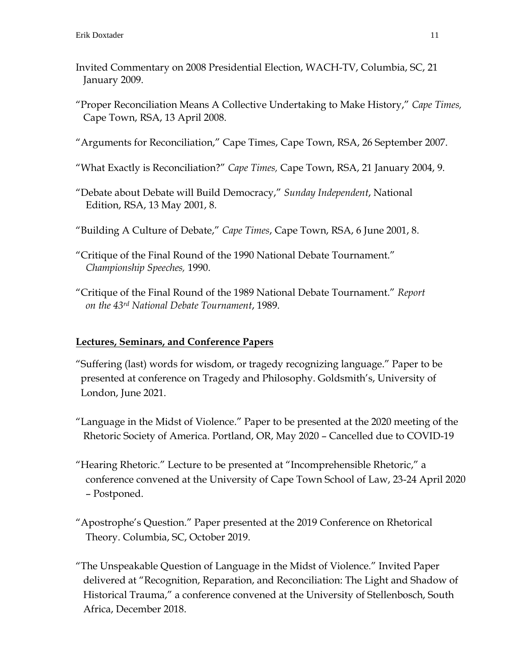- Invited Commentary on 2008 Presidential Election, WACH-TV, Columbia, SC, 21 January 2009.
- "Proper Reconciliation Means A Collective Undertaking to Make History," *Cape Times,* Cape Town, RSA, 13 April 2008.

"Arguments for Reconciliation," Cape Times, Cape Town, RSA, 26 September 2007.

"What Exactly is Reconciliation?" *Cape Times,* Cape Town, RSA, 21 January 2004, 9.

"Debate about Debate will Build Democracy," *Sunday Independent*, National Edition, RSA, 13 May 2001, 8.

"Building A Culture of Debate," *Cape Times*, Cape Town, RSA, 6 June 2001, 8.

"Critique of the Final Round of the 1990 National Debate Tournament." *Championship Speeches,* 1990.

"Critique of the Final Round of the 1989 National Debate Tournament." *Report on the 43rd National Debate Tournament*, 1989.

## **Lectures, Seminars, and Conference Papers**

- "Suffering (last) words for wisdom, or tragedy recognizing language." Paper to be presented at conference on Tragedy and Philosophy. Goldsmith's, University of London, June 2021.
- "Language in the Midst of Violence." Paper to be presented at the 2020 meeting of the Rhetoric Society of America. Portland, OR, May 2020 – Cancelled due to COVID-19
- "Hearing Rhetoric." Lecture to be presented at "Incomprehensible Rhetoric," a conference convened at the University of Cape Town School of Law, 23-24 April 2020 – Postponed.
- "Apostrophe's Question." Paper presented at the 2019 Conference on Rhetorical Theory. Columbia, SC, October 2019.

"The Unspeakable Question of Language in the Midst of Violence." Invited Paper delivered at "Recognition, Reparation, and Reconciliation: The Light and Shadow of Historical Trauma," a conference convened at the University of Stellenbosch, South Africa, December 2018.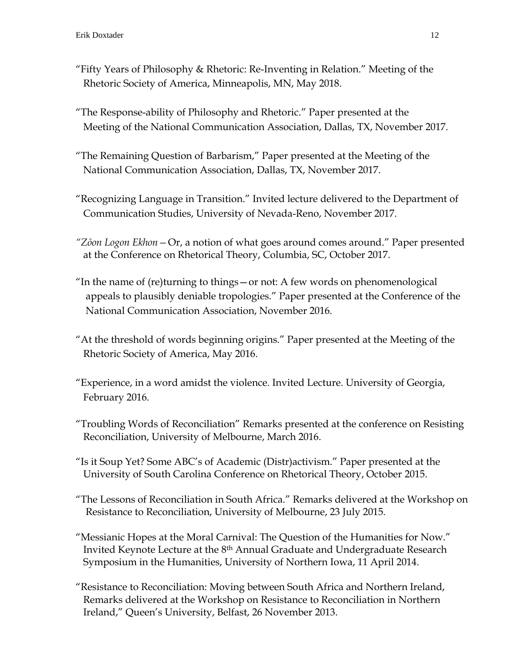- "Fifty Years of Philosophy & Rhetoric: Re-Inventing in Relation." Meeting of the Rhetoric Society of America, Minneapolis, MN, May 2018.
- "The Response-ability of Philosophy and Rhetoric." Paper presented at the Meeting of the National Communication Association, Dallas, TX, November 2017.
- "The Remaining Question of Barbarism," Paper presented at the Meeting of the National Communication Association, Dallas, TX, November 2017.
- "Recognizing Language in Transition." Invited lecture delivered to the Department of Communication Studies, University of Nevada-Reno, November 2017.
- *"Zōon Logon Ekhon—*Or, a notion of what goes around comes around." Paper presented at the Conference on Rhetorical Theory, Columbia, SC, October 2017.
- "In the name of (re)turning to things—or not: A few words on phenomenological appeals to plausibly deniable tropologies." Paper presented at the Conference of the National Communication Association, November 2016.
- "At the threshold of words beginning origins." Paper presented at the Meeting of the Rhetoric Society of America, May 2016.
- "Experience, in a word amidst the violence. Invited Lecture. University of Georgia, February 2016.
- "Troubling Words of Reconciliation" Remarks presented at the conference on Resisting Reconciliation, University of Melbourne, March 2016.
- "Is it Soup Yet? Some ABC's of Academic (Distr)activism." Paper presented at the University of South Carolina Conference on Rhetorical Theory, October 2015.
- "The Lessons of Reconciliation in South Africa." Remarks delivered at the Workshop on Resistance to Reconciliation, University of Melbourne, 23 July 2015.
- "Messianic Hopes at the Moral Carnival: The Question of the Humanities for Now." Invited Keynote Lecture at the 8th Annual Graduate and Undergraduate Research Symposium in the Humanities, University of Northern Iowa, 11 April 2014.
- "Resistance to Reconciliation: Moving between South Africa and Northern Ireland, Remarks delivered at the Workshop on Resistance to Reconciliation in Northern Ireland," Queen's University, Belfast, 26 November 2013.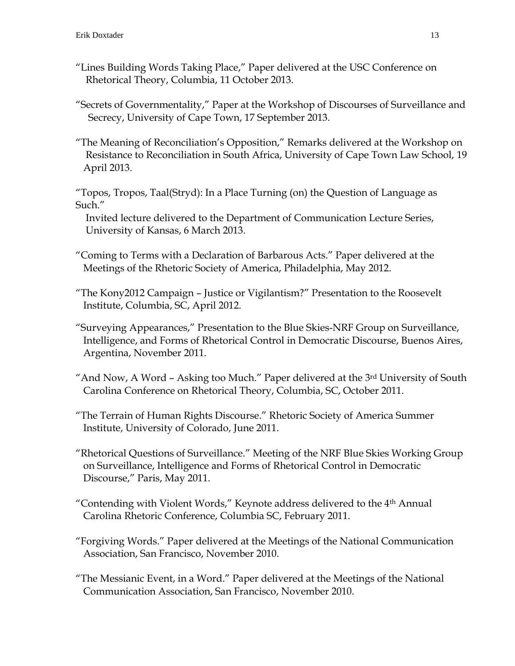- "Lines Building Words Taking Place," Paper delivered at the USC Conference on Rhetorical Theory, Columbia, 11 October 2013.
- "Secrets of Governmentality," Paper at the Workshop of Discourses of Surveillance and Secrecy, University of Cape Town, 17 September 2013.
- "The Meaning of Reconciliation's Opposition," Remarks delivered at the Workshop on Resistance to Reconciliation in South Africa, University of Cape Town Law School, 19 April 2013.
- "Topos, Tropos, Taal(Stryd): In a Place Turning (on) the Question of Language as Such."

 Invited lecture delivered to the Department of Communication Lecture Series, University of Kansas, 6 March 2013.

- "Coming to Terms with a Declaration of Barbarous Acts." Paper delivered at the Meetings of the Rhetoric Society of America, Philadelphia, May 2012.
- "The Kony2012 Campaign Justice or Vigilantism?" Presentation to the Roosevelt Institute, Columbia, SC, April 2012.
- "Surveying Appearances," Presentation to the Blue Skies-NRF Group on Surveillance, Intelligence, and Forms of Rhetorical Control in Democratic Discourse, Buenos Aires, Argentina, November 2011.
- "And Now, A Word Asking too Much." Paper delivered at the 3rd University of South Carolina Conference on Rhetorical Theory, Columbia, SC, October 2011.
- "The Terrain of Human Rights Discourse." Rhetoric Society of America Summer Institute, University of Colorado, June 2011.
- "Rhetorical Questions of Surveillance." Meeting of the NRF Blue Skies Working Group on Surveillance, Intelligence and Forms of Rhetorical Control in Democratic Discourse," Paris, May 2011.
- "Contending with Violent Words," Keynote address delivered to the 4th Annual Carolina Rhetoric Conference, Columbia SC, February 2011.
- "Forgiving Words." Paper delivered at the Meetings of the National Communication Association, San Francisco, November 2010.
- "The Messianic Event, in a Word." Paper delivered at the Meetings of the National Communication Association, San Francisco, November 2010.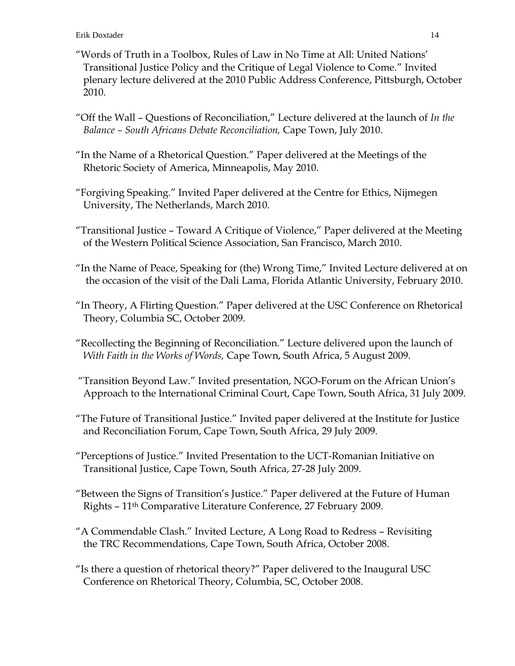- "Words of Truth in a Toolbox, Rules of Law in No Time at All: United Nations' Transitional Justice Policy and the Critique of Legal Violence to Come." Invited plenary lecture delivered at the 2010 Public Address Conference, Pittsburgh, October 2010.
- "Off the Wall Questions of Reconciliation," Lecture delivered at the launch of *In the Balance – South Africans Debate Reconciliation,* Cape Town, July 2010.
- "In the Name of a Rhetorical Question." Paper delivered at the Meetings of the Rhetoric Society of America, Minneapolis, May 2010.
- "Forgiving Speaking." Invited Paper delivered at the Centre for Ethics, Nijmegen University, The Netherlands, March 2010.
- "Transitional Justice Toward A Critique of Violence," Paper delivered at the Meeting of the Western Political Science Association, San Francisco, March 2010.
- "In the Name of Peace, Speaking for (the) Wrong Time," Invited Lecture delivered at on the occasion of the visit of the Dali Lama, Florida Atlantic University, February 2010.
- "In Theory, A Flirting Question." Paper delivered at the USC Conference on Rhetorical Theory, Columbia SC, October 2009.
- "Recollecting the Beginning of Reconciliation." Lecture delivered upon the launch of *With Faith in the Works of Words,* Cape Town, South Africa, 5 August 2009.
- "Transition Beyond Law." Invited presentation, NGO-Forum on the African Union's Approach to the International Criminal Court, Cape Town, South Africa, 31 July 2009.
- "The Future of Transitional Justice." Invited paper delivered at the Institute for Justice and Reconciliation Forum, Cape Town, South Africa, 29 July 2009.
- "Perceptions of Justice." Invited Presentation to the UCT-Romanian Initiative on Transitional Justice, Cape Town, South Africa, 27-28 July 2009.
- "Between the Signs of Transition's Justice." Paper delivered at the Future of Human Rights – 11th Comparative Literature Conference, 27 February 2009.
- "A Commendable Clash." Invited Lecture, A Long Road to Redress Revisiting the TRC Recommendations, Cape Town, South Africa, October 2008.
- "Is there a question of rhetorical theory?" Paper delivered to the Inaugural USC Conference on Rhetorical Theory, Columbia, SC, October 2008.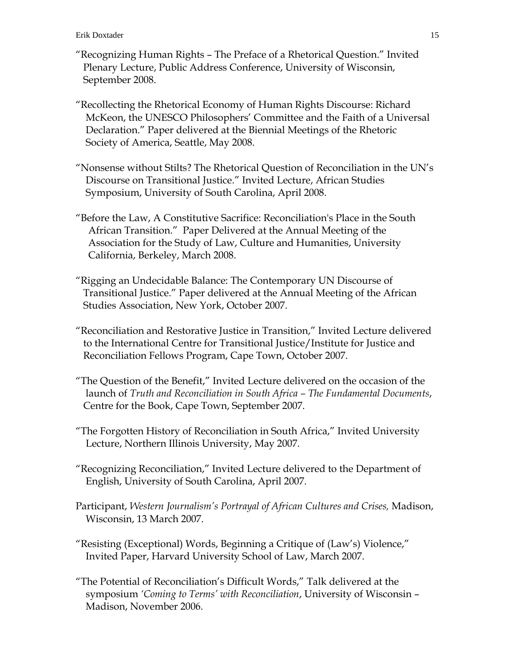- "Recognizing Human Rights The Preface of a Rhetorical Question." Invited Plenary Lecture, Public Address Conference, University of Wisconsin, September 2008.
- "Recollecting the Rhetorical Economy of Human Rights Discourse: Richard McKeon, the UNESCO Philosophers' Committee and the Faith of a Universal Declaration." Paper delivered at the Biennial Meetings of the Rhetoric Society of America, Seattle, May 2008.
- "Nonsense without Stilts? The Rhetorical Question of Reconciliation in the UN's Discourse on Transitional Justice." Invited Lecture, African Studies Symposium, University of South Carolina, April 2008.
- "Before the Law, A Constitutive Sacrifice: Reconciliation's Place in the South African Transition." Paper Delivered at the Annual Meeting of the Association for the Study of Law, Culture and Humanities, University California, Berkeley, March 2008.
- "Rigging an Undecidable Balance: The Contemporary UN Discourse of Transitional Justice." Paper delivered at the Annual Meeting of the African Studies Association, New York, October 2007.
- "Reconciliation and Restorative Justice in Transition," Invited Lecture delivered to the International Centre for Transitional Justice/Institute for Justice and Reconciliation Fellows Program, Cape Town, October 2007.
- "The Question of the Benefit," Invited Lecture delivered on the occasion of the launch of *Truth and Reconciliation in South Africa – The Fundamental Documents*, Centre for the Book, Cape Town, September 2007.
- "The Forgotten History of Reconciliation in South Africa," Invited University Lecture, Northern Illinois University, May 2007.
- "Recognizing Reconciliation," Invited Lecture delivered to the Department of English, University of South Carolina, April 2007.
- Participant, *Western Journalism's Portrayal of African Cultures and Crises,* Madison, Wisconsin, 13 March 2007.
- "Resisting (Exceptional) Words, Beginning a Critique of (Law's) Violence," Invited Paper, Harvard University School of Law, March 2007.
- "The Potential of Reconciliation's Difficult Words," Talk delivered at the symposium *'Coming to Terms' with Reconciliation*, University of Wisconsin – Madison, November 2006.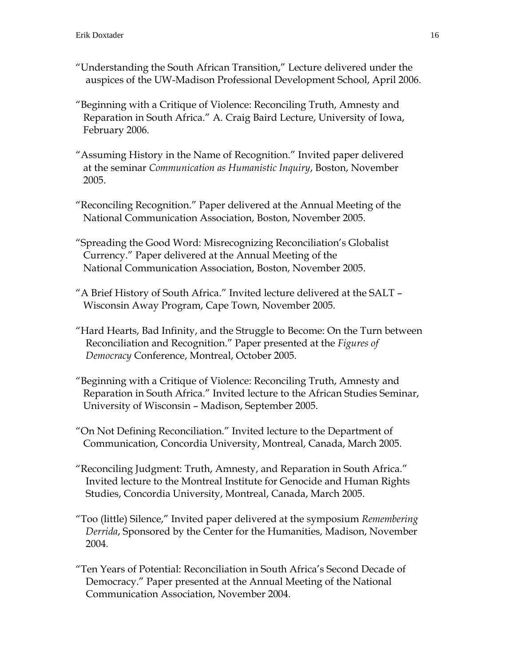- "Understanding the South African Transition," Lecture delivered under the auspices of the UW-Madison Professional Development School, April 2006.
- "Beginning with a Critique of Violence: Reconciling Truth, Amnesty and Reparation in South Africa." A. Craig Baird Lecture, University of Iowa, February 2006.
- "Assuming History in the Name of Recognition." Invited paper delivered at the seminar *Communication as Humanistic Inquiry*, Boston, November 2005.
- "Reconciling Recognition." Paper delivered at the Annual Meeting of the National Communication Association, Boston, November 2005.
- "Spreading the Good Word: Misrecognizing Reconciliation's Globalist Currency." Paper delivered at the Annual Meeting of the National Communication Association, Boston, November 2005.
- "A Brief History of South Africa." Invited lecture delivered at the SALT Wisconsin Away Program, Cape Town, November 2005.
- "Hard Hearts, Bad Infinity, and the Struggle to Become: On the Turn between Reconciliation and Recognition." Paper presented at the *Figures of Democracy* Conference, Montreal, October 2005.
- "Beginning with a Critique of Violence: Reconciling Truth, Amnesty and Reparation in South Africa." Invited lecture to the African Studies Seminar, University of Wisconsin – Madison, September 2005.
- "On Not Defining Reconciliation." Invited lecture to the Department of Communication, Concordia University, Montreal, Canada, March 2005.
- "Reconciling Judgment: Truth, Amnesty, and Reparation in South Africa." Invited lecture to the Montreal Institute for Genocide and Human Rights Studies, Concordia University, Montreal, Canada, March 2005.
- "Too (little) Silence," Invited paper delivered at the symposium *Remembering Derrida*, Sponsored by the Center for the Humanities, Madison, November 2004.
- "Ten Years of Potential: Reconciliation in South Africa's Second Decade of Democracy." Paper presented at the Annual Meeting of the National Communication Association, November 2004.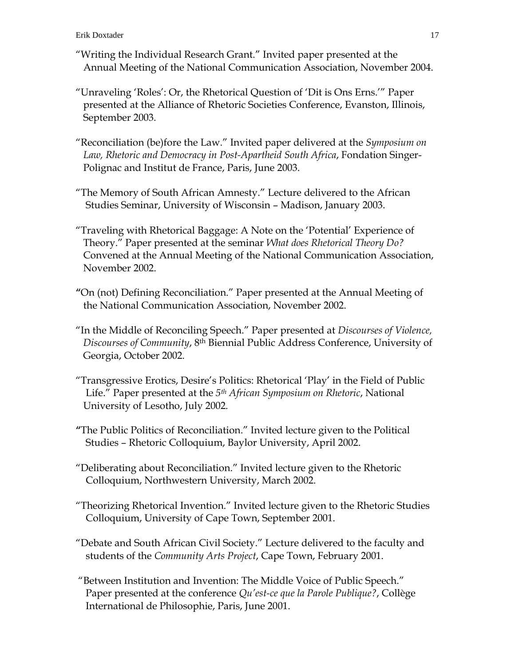- "Writing the Individual Research Grant." Invited paper presented at the Annual Meeting of the National Communication Association, November 2004.
- "Unraveling 'Roles': Or, the Rhetorical Question of 'Dit is Ons Erns.'" Paper presented at the Alliance of Rhetoric Societies Conference, Evanston, Illinois, September 2003.
- "Reconciliation (be)fore the Law." Invited paper delivered at the *Symposium on Law, Rhetoric and Democracy in Post-Apartheid South Africa*, Fondation Singer- Polignac and Institut de France, Paris, June 2003.
- "The Memory of South African Amnesty." Lecture delivered to the African Studies Seminar, University of Wisconsin – Madison, January 2003.
- "Traveling with Rhetorical Baggage: A Note on the 'Potential' Experience of Theory." Paper presented at the seminar *What does Rhetorical Theory Do?* Convened at the Annual Meeting of the National Communication Association, November 2002.
- **"**On (not) Defining Reconciliation." Paper presented at the Annual Meeting of the National Communication Association, November 2002.
- "In the Middle of Reconciling Speech." Paper presented at *Discourses of Violence, Discourses of Community*, 8th Biennial Public Address Conference, University of Georgia, October 2002.
- "Transgressive Erotics, Desire's Politics: Rhetorical 'Play' in the Field of Public Life." Paper presented at the *5th African Symposium on Rhetoric*, National University of Lesotho, July 2002.
- **"**The Public Politics of Reconciliation." Invited lecture given to the Political Studies – Rhetoric Colloquium, Baylor University, April 2002.
- "Deliberating about Reconciliation." Invited lecture given to the Rhetoric Colloquium, Northwestern University, March 2002.
- "Theorizing Rhetorical Invention." Invited lecture given to the Rhetoric Studies Colloquium, University of Cape Town, September 2001.
- "Debate and South African Civil Society." Lecture delivered to the faculty and students of the *Community Arts Project*, Cape Town, February 2001.
- "Between Institution and Invention: The Middle Voice of Public Speech." Paper presented at the conference *Qu'est-ce que la Parole Publique?*, Collège International de Philosophie, Paris, June 2001.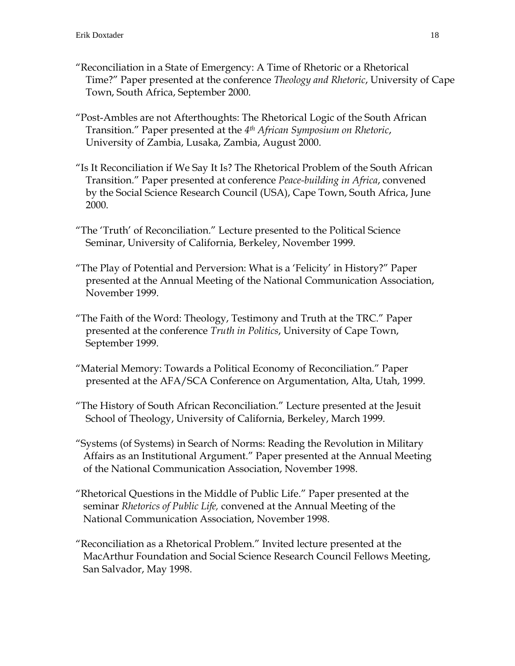- "Reconciliation in a State of Emergency: A Time of Rhetoric or a Rhetorical Time?" Paper presented at the conference *Theology and Rhetoric*, University of Cape Town, South Africa, September 2000.
- "Post-Ambles are not Afterthoughts: The Rhetorical Logic of the South African Transition." Paper presented at the *4th African Symposium on Rhetoric*, University of Zambia, Lusaka, Zambia, August 2000.
- "Is It Reconciliation if We Say It Is? The Rhetorical Problem of the South African Transition." Paper presented at conference *Peace-building in Africa*, convened by the Social Science Research Council (USA), Cape Town, South Africa, June 2000.
- "The 'Truth' of Reconciliation." Lecture presented to the Political Science Seminar, University of California, Berkeley, November 1999.
- "The Play of Potential and Perversion: What is a 'Felicity' in History?" Paper presented at the Annual Meeting of the National Communication Association, November 1999.
- "The Faith of the Word: Theology, Testimony and Truth at the TRC." Paper presented at the conference *Truth in Politics*, University of Cape Town, September 1999.
- "Material Memory: Towards a Political Economy of Reconciliation." Paper presented at the AFA/SCA Conference on Argumentation, Alta, Utah, 1999.
- "The History of South African Reconciliation." Lecture presented at the Jesuit School of Theology, University of California, Berkeley, March 1999.
- "Systems (of Systems) in Search of Norms: Reading the Revolution in Military Affairs as an Institutional Argument." Paper presented at the Annual Meeting of the National Communication Association, November 1998.
- "Rhetorical Questions in the Middle of Public Life." Paper presented at the seminar *Rhetorics of Public Life,* convened at the Annual Meeting of the National Communication Association, November 1998.
- "Reconciliation as a Rhetorical Problem." Invited lecture presented at the MacArthur Foundation and Social Science Research Council Fellows Meeting, San Salvador, May 1998.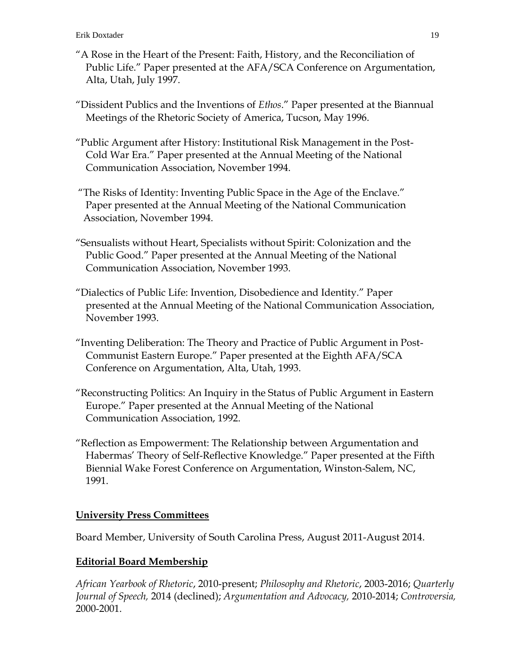- "A Rose in the Heart of the Present: Faith, History, and the Reconciliation of Public Life." Paper presented at the AFA/SCA Conference on Argumentation, Alta, Utah, July 1997.
- "Dissident Publics and the Inventions of *Ethos*." Paper presented at the Biannual Meetings of the Rhetoric Society of America, Tucson, May 1996.
- "Public Argument after History: Institutional Risk Management in the Post- Cold War Era." Paper presented at the Annual Meeting of the National Communication Association, November 1994.
- "The Risks of Identity: Inventing Public Space in the Age of the Enclave." Paper presented at the Annual Meeting of the National Communication Association, November 1994.
- "Sensualists without Heart, Specialists without Spirit: Colonization and the Public Good." Paper presented at the Annual Meeting of the National Communication Association, November 1993.
- "Dialectics of Public Life: Invention, Disobedience and Identity." Paper presented at the Annual Meeting of the National Communication Association, November 1993.
- "Inventing Deliberation: The Theory and Practice of Public Argument in Post- Communist Eastern Europe." Paper presented at the Eighth AFA/SCA Conference on Argumentation, Alta, Utah, 1993.
- "Reconstructing Politics: An Inquiry in the Status of Public Argument in Eastern Europe." Paper presented at the Annual Meeting of the National Communication Association, 1992.
- "Reflection as Empowerment: The Relationship between Argumentation and Habermas' Theory of Self-Reflective Knowledge." Paper presented at the Fifth Biennial Wake Forest Conference on Argumentation, Winston-Salem, NC, 1991.

## **University Press Committees**

Board Member, University of South Carolina Press, August 2011-August 2014.

## **Editorial Board Membership**

*African Yearbook of Rhetoric*, 2010-present; *Philosophy and Rhetoric*, 2003-2016; *Quarterly Journal of Speech,* 2014 (declined); *Argumentation and Advocacy,* 2010-2014; *Controversia,*  2000-2001.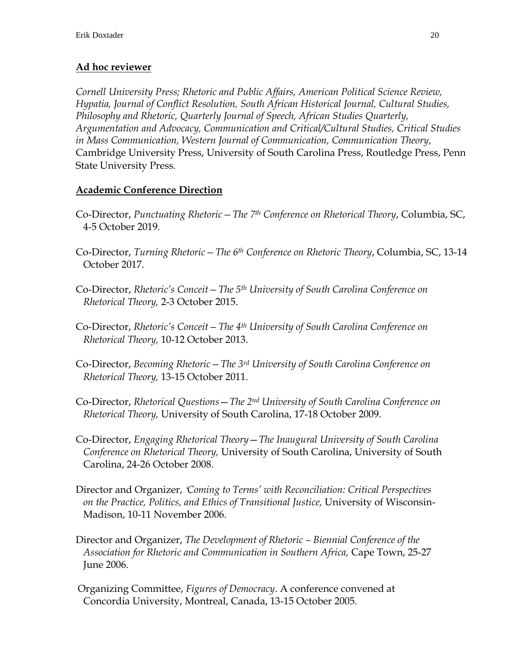## **Ad hoc reviewer**

*Cornell University Press; Rhetoric and Public Affairs, American Political Science Review, Hypatia, Journal of Conflict Resolution, South African Historical Journal, Cultural Studies, Philosophy and Rhetoric, Quarterly Journal of Speech, African Studies Quarterly, Argumentation and Advocacy, Communication and Critical/Cultural Studies, Critical Studies in Mass Communication, Western Journal of Communication, Communication Theory,* Cambridge University Press, University of South Carolina Press, Routledge Press, Penn State University Press.

## **Academic Conference Direction**

- Co-Director, *Punctuating Rhetoric—The 7th Conference on Rhetorical Theory*, Columbia, SC, 4-5 October 2019.
- Co-Director, *Turning Rhetoric—The 6th Conference on Rhetoric Theory*, Columbia, SC, 13-14 October 2017.
- Co-Director, *Rhetoric's Conceit—The 5th University of South Carolina Conference on Rhetorical Theory,* 2-3 October 2015.
- Co-Director, *Rhetoric's Conceit—The 4th University of South Carolina Conference on Rhetorical Theory,* 10-12 October 2013.
- Co-Director, *Becoming Rhetoric—The 3rd University of South Carolina Conference on Rhetorical Theory,* 13-15 October 2011.
- Co-Director, *Rhetorical Questions*—*The 2nd University of South Carolina Conference on Rhetorical Theory,* University of South Carolina, 17-18 October 2009.
- Co-Director, *Engaging Rhetorical Theory*—*The Inaugural University of South Carolina Conference on Rhetorical Theory,* University of South Carolina, University of South Carolina, 24-26 October 2008.
- Director and Organizer, *'Coming to Terms' with Reconciliation: Critical Perspectives on the Practice, Politics, and Ethics of Transitional Justice,* University of Wisconsin- Madison, 10-11 November 2006.
- Director and Organizer, *The Development of Rhetoric – Biennial Conference of the Association for Rhetoric and Communication in Southern Africa,* Cape Town, 25-27 June 2006.
- Organizing Committee, *Figures of Democracy*. A conference convened at Concordia University, Montreal, Canada, 13-15 October 2005.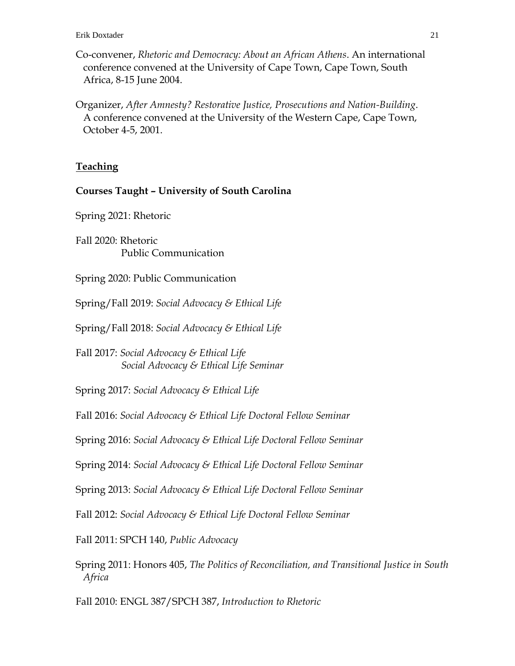- Co-convener, *Rhetoric and Democracy: About an African Athens*. An international conference convened at the University of Cape Town, Cape Town, South Africa, 8-15 June 2004.
- Organizer, *After Amnesty? Restorative Justice, Prosecutions and Nation-Building*. A conference convened at the University of the Western Cape, Cape Town, October 4-5, 2001.

#### **Teaching**

#### **Courses Taught – University of South Carolina**

Spring 2021: Rhetoric

Fall 2020: Rhetoric Public Communication

Spring 2020: Public Communication

Spring/Fall 2019: *Social Advocacy & Ethical Life*

Spring/Fall 2018: *Social Advocacy & Ethical Life*

Fall 2017: *Social Advocacy & Ethical Life Social Advocacy & Ethical Life Seminar*

Spring 2017: *Social Advocacy & Ethical Life*

Fall 2016: *Social Advocacy & Ethical Life Doctoral Fellow Seminar*

Spring 2016: *Social Advocacy & Ethical Life Doctoral Fellow Seminar*

Spring 2014: *Social Advocacy & Ethical Life Doctoral Fellow Seminar*

Spring 2013: *Social Advocacy & Ethical Life Doctoral Fellow Seminar*

Fall 2012: *Social Advocacy & Ethical Life Doctoral Fellow Seminar*

Fall 2011: SPCH 140, *Public Advocacy* 

Spring 2011: Honors 405, *The Politics of Reconciliation, and Transitional Justice in South Africa*

Fall 2010: ENGL 387/SPCH 387, *Introduction to Rhetoric*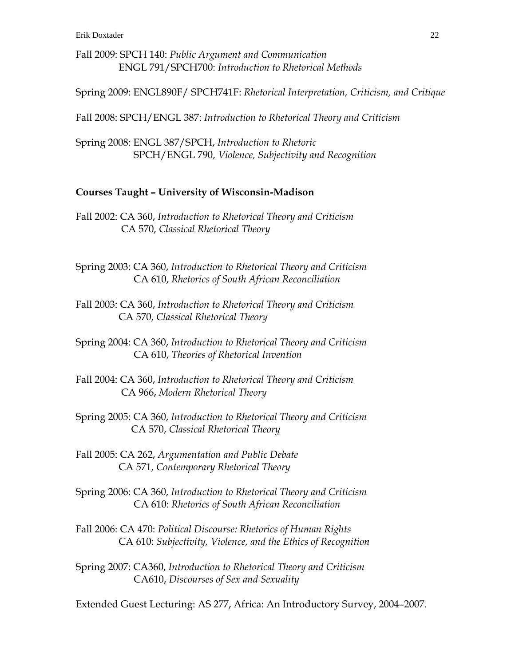Fall 2009: SPCH 140: *Public Argument and Communication* ENGL 791/SPCH700: *Introduction to Rhetorical Methods*

Spring 2009: ENGL890F/ SPCH741F: *Rhetorical Interpretation, Criticism, and Critique*

Fall 2008: SPCH/ENGL 387: *Introduction to Rhetorical Theory and Criticism*

Spring 2008: ENGL 387/SPCH, *Introduction to Rhetoric*  SPCH/ENGL 790, *Violence, Subjectivity and Recognition* 

#### **Courses Taught – University of Wisconsin-Madison**

Fall 2002: CA 360, *Introduction to Rhetorical Theory and Criticism* CA 570, *Classical Rhetorical Theory*

Spring 2003: CA 360, *Introduction to Rhetorical Theory and Criticism* CA 610, *Rhetorics of South African Reconciliation*

Fall 2003: CA 360, *Introduction to Rhetorical Theory and Criticism* CA 570, *Classical Rhetorical Theory*

Spring 2004: CA 360, *Introduction to Rhetorical Theory and Criticism* CA 610, *Theories of Rhetorical Invention*

- Fall 2004: CA 360, *Introduction to Rhetorical Theory and Criticism* CA 966, *Modern Rhetorical Theory*
- Spring 2005: CA 360, *Introduction to Rhetorical Theory and Criticism* CA 570, *Classical Rhetorical Theory*

Fall 2005: CA 262, *Argumentation and Public Debate* CA 571, *Contemporary Rhetorical Theory*

- Spring 2006: CA 360, *Introduction to Rhetorical Theory and Criticism* CA 610: *Rhetorics of South African Reconciliation*
- Fall 2006: CA 470: *Political Discourse: Rhetorics of Human Rights* CA 610: *Subjectivity, Violence, and the Ethics of Recognition*
- Spring 2007: CA360, *Introduction to Rhetorical Theory and Criticism* CA610, *Discourses of Sex and Sexuality*

Extended Guest Lecturing: AS 277, Africa: An Introductory Survey, 2004–2007.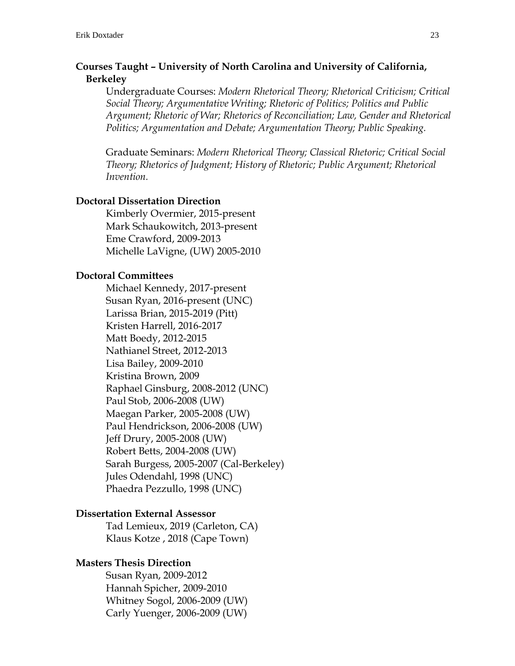### **Courses Taught – University of North Carolina and University of California, Berkeley**

Undergraduate Courses: *Modern Rhetorical Theory; Rhetorical Criticism; Critical Social Theory; Argumentative Writing; Rhetoric of Politics; Politics and Public Argument; Rhetoric of War; Rhetorics of Reconciliation; Law, Gender and Rhetorical Politics; Argumentation and Debate; Argumentation Theory; Public Speaking.* 

Graduate Seminars: *Modern Rhetorical Theory; Classical Rhetoric; Critical Social Theory; Rhetorics of Judgment; History of Rhetoric; Public Argument; Rhetorical Invention.*

#### **Doctoral Dissertation Direction**

Kimberly Overmier, 2015-present Mark Schaukowitch, 2013-present Eme Crawford, 2009-2013 Michelle LaVigne, (UW) 2005-2010

#### **Doctoral Committees**

Michael Kennedy, 2017-present Susan Ryan, 2016-present (UNC) Larissa Brian, 2015-2019 (Pitt) Kristen Harrell, 2016-2017 Matt Boedy, 2012-2015 Nathianel Street, 2012-2013 Lisa Bailey, 2009-2010 Kristina Brown, 2009 Raphael Ginsburg, 2008-2012 (UNC) Paul Stob, 2006-2008 (UW) Maegan Parker, 2005-2008 (UW) Paul Hendrickson, 2006-2008 (UW) Jeff Drury, 2005-2008 (UW) Robert Betts, 2004-2008 (UW) Sarah Burgess, 2005-2007 (Cal-Berkeley) Jules Odendahl, 1998 (UNC) Phaedra Pezzullo, 1998 (UNC)

#### **Dissertation External Assessor**

Tad Lemieux, 2019 (Carleton, CA) Klaus Kotze , 2018 (Cape Town)

#### **Masters Thesis Direction**

Susan Ryan, 2009-2012 Hannah Spicher, 2009-2010 Whitney Sogol, 2006-2009 (UW) Carly Yuenger, 2006-2009 (UW)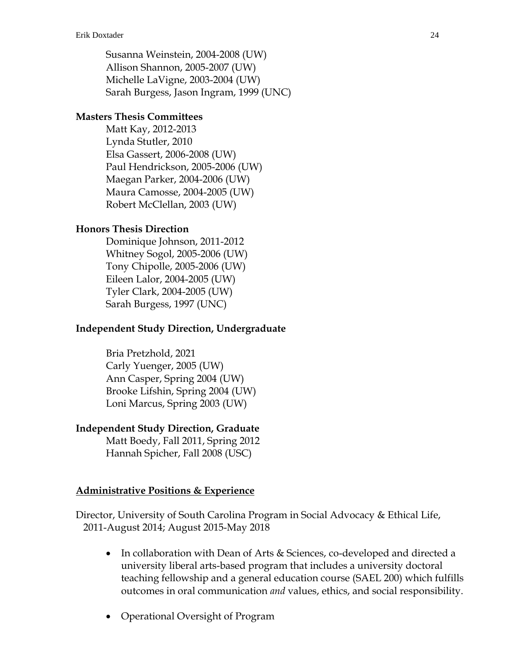Susanna Weinstein, 2004-2008 (UW) Allison Shannon, 2005-2007 (UW) Michelle LaVigne, 2003-2004 (UW) Sarah Burgess, Jason Ingram, 1999 (UNC)

### **Masters Thesis Committees**

Matt Kay, 2012-2013 Lynda Stutler, 2010 Elsa Gassert, 2006-2008 (UW) Paul Hendrickson, 2005-2006 (UW) Maegan Parker, 2004-2006 (UW) Maura Camosse, 2004-2005 (UW) Robert McClellan, 2003 (UW)

### **Honors Thesis Direction**

Dominique Johnson, 2011-2012 Whitney Sogol, 2005-2006 (UW) Tony Chipolle, 2005-2006 (UW) Eileen Lalor, 2004-2005 (UW) Tyler Clark, 2004-2005 (UW) Sarah Burgess, 1997 (UNC)

### **Independent Study Direction, Undergraduate**

Bria Pretzhold, 2021 Carly Yuenger, 2005 (UW) Ann Casper, Spring 2004 (UW) Brooke Lifshin, Spring 2004 (UW) Loni Marcus, Spring 2003 (UW)

#### **Independent Study Direction, Graduate**

Matt Boedy, Fall 2011, Spring 2012 Hannah Spicher, Fall 2008 (USC)

#### **Administrative Positions & Experience**

Director, University of South Carolina Program in Social Advocacy & Ethical Life, 2011-August 2014; August 2015-May 2018

- In collaboration with Dean of Arts & Sciences, co-developed and directed a university liberal arts-based program that includes a university doctoral teaching fellowship and a general education course (SAEL 200) which fulfills outcomes in oral communication *and* values, ethics, and social responsibility.
- Operational Oversight of Program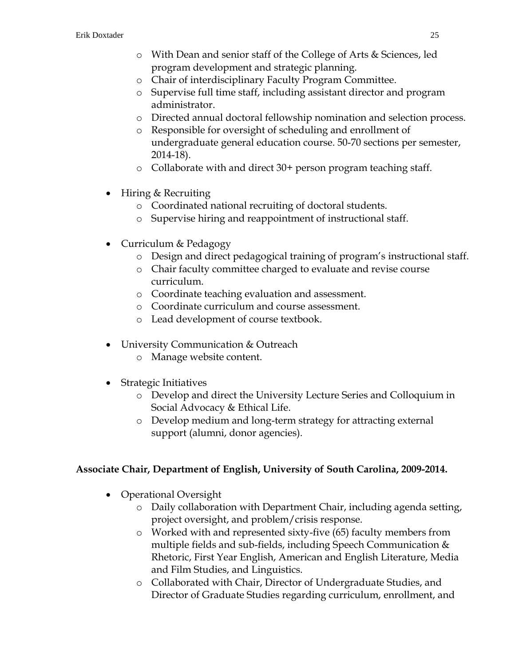- o With Dean and senior staff of the College of Arts & Sciences, led program development and strategic planning.
- o Chair of interdisciplinary Faculty Program Committee.
- o Supervise full time staff, including assistant director and program administrator.
- o Directed annual doctoral fellowship nomination and selection process.
- o Responsible for oversight of scheduling and enrollment of undergraduate general education course. 50-70 sections per semester, 2014-18).
- o Collaborate with and direct 30+ person program teaching staff.
- Hiring & Recruiting
	- o Coordinated national recruiting of doctoral students.
	- o Supervise hiring and reappointment of instructional staff.
- Curriculum & Pedagogy
	- o Design and direct pedagogical training of program's instructional staff.
	- o Chair faculty committee charged to evaluate and revise course curriculum.
	- o Coordinate teaching evaluation and assessment.
	- o Coordinate curriculum and course assessment.
	- o Lead development of course textbook.
- University Communication & Outreach
	- o Manage website content.
- Strategic Initiatives
	- o Develop and direct the University Lecture Series and Colloquium in Social Advocacy & Ethical Life.
	- o Develop medium and long-term strategy for attracting external support (alumni, donor agencies).

## **Associate Chair, Department of English, University of South Carolina, 2009-2014.**

- Operational Oversight
	- o Daily collaboration with Department Chair, including agenda setting, project oversight, and problem/crisis response.
	- o Worked with and represented sixty-five (65) faculty members from multiple fields and sub-fields, including Speech Communication & Rhetoric, First Year English, American and English Literature, Media and Film Studies, and Linguistics.
	- o Collaborated with Chair, Director of Undergraduate Studies, and Director of Graduate Studies regarding curriculum, enrollment, and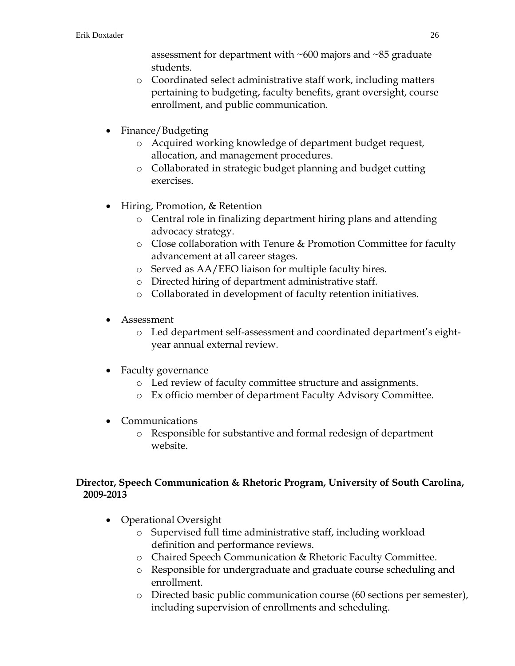assessment for department with ~600 majors and ~85 graduate students.

- o Coordinated select administrative staff work, including matters pertaining to budgeting, faculty benefits, grant oversight, course enrollment, and public communication.
- Finance/Budgeting
	- o Acquired working knowledge of department budget request, allocation, and management procedures.
	- o Collaborated in strategic budget planning and budget cutting exercises.
- Hiring, Promotion, & Retention
	- o Central role in finalizing department hiring plans and attending advocacy strategy.
	- o Close collaboration with Tenure & Promotion Committee for faculty advancement at all career stages.
	- o Served as AA/EEO liaison for multiple faculty hires.
	- o Directed hiring of department administrative staff.
	- o Collaborated in development of faculty retention initiatives.
- Assessment
	- o Led department self-assessment and coordinated department's eightyear annual external review.
- Faculty governance
	- o Led review of faculty committee structure and assignments.
	- o Ex officio member of department Faculty Advisory Committee.
- Communications
	- o Responsible for substantive and formal redesign of department website.

### **Director, Speech Communication & Rhetoric Program, University of South Carolina, 2009-2013**

- Operational Oversight
	- o Supervised full time administrative staff, including workload definition and performance reviews.
	- o Chaired Speech Communication & Rhetoric Faculty Committee.
	- o Responsible for undergraduate and graduate course scheduling and enrollment.
	- o Directed basic public communication course (60 sections per semester), including supervision of enrollments and scheduling.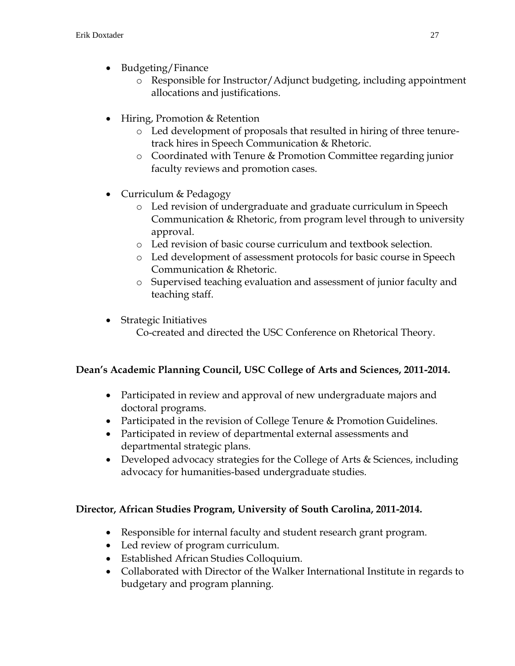- Budgeting/Finance
	- o Responsible for Instructor/Adjunct budgeting, including appointment allocations and justifications.
- Hiring, Promotion & Retention
	- o Led development of proposals that resulted in hiring of three tenuretrack hires in Speech Communication & Rhetoric.
	- o Coordinated with Tenure & Promotion Committee regarding junior faculty reviews and promotion cases.
- Curriculum & Pedagogy
	- o Led revision of undergraduate and graduate curriculum in Speech Communication & Rhetoric, from program level through to university approval.
	- o Led revision of basic course curriculum and textbook selection.
	- o Led development of assessment protocols for basic course in Speech Communication & Rhetoric.
	- o Supervised teaching evaluation and assessment of junior faculty and teaching staff.
- Strategic Initiatives Co-created and directed the USC Conference on Rhetorical Theory.

## **Dean's Academic Planning Council, USC College of Arts and Sciences, 2011-2014.**

- Participated in review and approval of new undergraduate majors and doctoral programs.
- Participated in the revision of College Tenure & Promotion Guidelines.
- Participated in review of departmental external assessments and departmental strategic plans.
- Developed advocacy strategies for the College of Arts & Sciences, including advocacy for humanities-based undergraduate studies.

## **Director, African Studies Program, University of South Carolina, 2011-2014.**

- Responsible for internal faculty and student research grant program.
- Led review of program curriculum.
- Established African Studies Colloquium.
- Collaborated with Director of the Walker International Institute in regards to budgetary and program planning.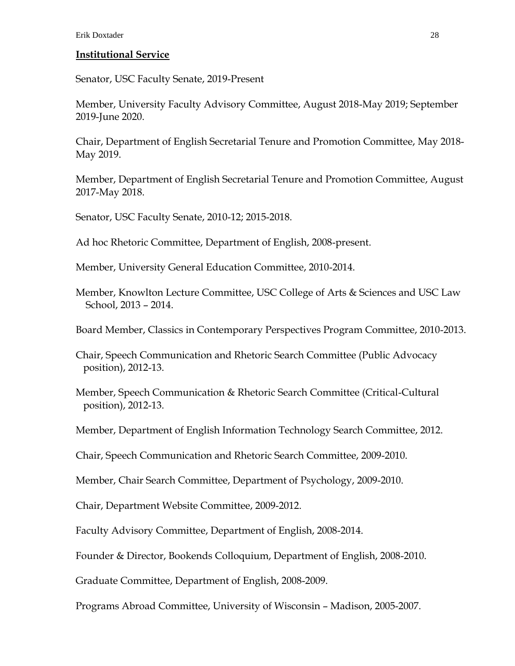#### **Institutional Service**

Senator, USC Faculty Senate, 2019-Present

Member, University Faculty Advisory Committee, August 2018-May 2019; September 2019-June 2020.

Chair, Department of English Secretarial Tenure and Promotion Committee, May 2018- May 2019.

Member, Department of English Secretarial Tenure and Promotion Committee, August 2017-May 2018.

Senator, USC Faculty Senate, 2010-12; 2015-2018.

Ad hoc Rhetoric Committee, Department of English, 2008-present.

Member, University General Education Committee, 2010-2014.

Member, Knowlton Lecture Committee, USC College of Arts & Sciences and USC Law School, 2013 – 2014.

Board Member, Classics in Contemporary Perspectives Program Committee, 2010-2013.

Chair, Speech Communication and Rhetoric Search Committee (Public Advocacy position), 2012-13.

Member, Speech Communication & Rhetoric Search Committee (Critical-Cultural position), 2012-13.

Member, Department of English Information Technology Search Committee, 2012.

Chair, Speech Communication and Rhetoric Search Committee, 2009-2010.

Member, Chair Search Committee, Department of Psychology, 2009-2010.

Chair, Department Website Committee, 2009-2012.

Faculty Advisory Committee, Department of English, 2008-2014.

Founder & Director, Bookends Colloquium, Department of English, 2008-2010.

Graduate Committee, Department of English, 2008-2009.

Programs Abroad Committee, University of Wisconsin – Madison, 2005-2007.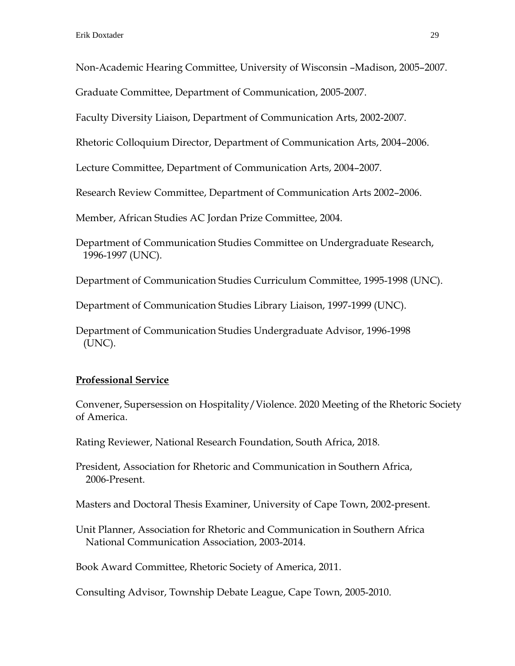Non-Academic Hearing Committee, University of Wisconsin –Madison, 2005–2007.

Graduate Committee, Department of Communication, 2005-2007.

Faculty Diversity Liaison, Department of Communication Arts, 2002-2007.

Rhetoric Colloquium Director, Department of Communication Arts, 2004–2006.

Lecture Committee, Department of Communication Arts, 2004–2007.

Research Review Committee, Department of Communication Arts 2002–2006.

Member, African Studies AC Jordan Prize Committee, 2004.

Department of Communication Studies Committee on Undergraduate Research, 1996-1997 (UNC).

Department of Communication Studies Curriculum Committee, 1995-1998 (UNC).

Department of Communication Studies Library Liaison, 1997-1999 (UNC).

Department of Communication Studies Undergraduate Advisor, 1996-1998 (UNC).

## **Professional Service**

Convener, Supersession on Hospitality/Violence. 2020 Meeting of the Rhetoric Society of America.

Rating Reviewer, National Research Foundation, South Africa, 2018.

President, Association for Rhetoric and Communication in Southern Africa, 2006-Present.

Masters and Doctoral Thesis Examiner, University of Cape Town, 2002-present.

Unit Planner, Association for Rhetoric and Communication in Southern Africa National Communication Association, 2003-2014.

Book Award Committee, Rhetoric Society of America, 2011.

Consulting Advisor, Township Debate League, Cape Town, 2005-2010.